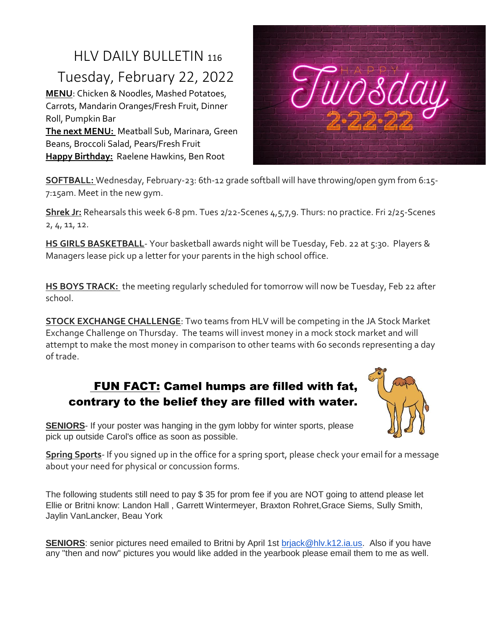## HLV DAILY BULLETIN <sup>116</sup> Tuesday, February 22, 2022

**MENU**: Chicken & Noodles, Mashed Potatoes, Carrots, Mandarin Oranges/Fresh Fruit, Dinner Roll, Pumpkin Bar **The next MENU:** Meatball Sub, Marinara, Green Beans, Broccoli Salad, Pears/Fresh Fruit **Happy Birthday:** Raelene Hawkins, Ben Root



**SOFTBALL:** Wednesday, February-23: 6th-12 grade softball will have throwing/open gym from 6:15- 7:15am. Meet in the new gym.

**Shrek Jr:** Rehearsals this week 6-8 pm. Tues 2/22-Scenes 4,5,7,9. Thurs: no practice. Fri 2/25-Scenes 2, 4, 11, 12.

**HS GIRLS BASKETBALL**- Your basketball awards night will be Tuesday, Feb. 22 at 5:30. Players & Managers lease pick up a letter for your parents in the high school office.

**HS BOYS TRACK:** the meeting regularly scheduled for tomorrow will now be Tuesday, Feb 22 after school.

**STOCK EXCHANGE CHALLENGE**: Two teams from HLV will be competing in the JA Stock Market Exchange Challenge on Thursday. The teams will invest money in a mock stock market and will attempt to make the most money in comparison to other teams with 60 seconds representing a day of trade.

## FUN FACT: Camel humps are filled with fat, contrary to the belief they are filled with water.



**SENIORS**- If your poster was hanging in the gym lobby for winter sports, please pick up outside Carol's office as soon as possible.

**Spring Sports**- If you signed up in the office for a spring sport, please check your email for a message about your need for physical or concussion forms.

The following students still need to pay \$ 35 for prom fee if you are NOT going to attend please let Ellie or Britni know: Landon Hall , Garrett Wintermeyer, Braxton Rohret,Grace Siems, Sully Smith, Jaylin VanLancker, Beau York

**SENIORS**: senior pictures need emailed to Britni by April 1st [brjack@hlv.k12.ia.us.](mailto:brjack@hlv.k12.ia.us) Also if you have any "then and now" pictures you would like added in the yearbook please email them to me as well.